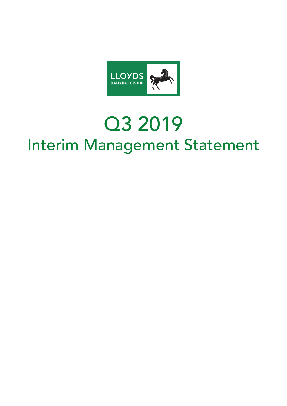

# Q3 2019 Interim Management Statement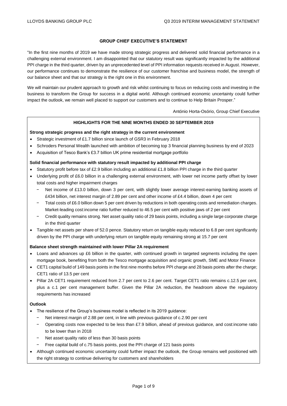## **GROUP CHIEF EXECUTIVE'S STATEMENT**

"In the first nine months of 2019 we have made strong strategic progress and delivered solid financial performance in a challenging external environment. I am disappointed that our statutory result was significantly impacted by the additional PPI charge in the third quarter, driven by an unprecedented level of PPI information requests received in August. However, our performance continues to demonstrate the resilience of our customer franchise and business model, the strength of our balance sheet and that our strategy is the right one in this environment.

We will maintain our prudent approach to growth and risk whilst continuing to focus on reducing costs and investing in the business to transform the Group for success in a digital world. Although continued economic uncertainty could further impact the outlook, we remain well placed to support our customers and to continue to Help Britain Prosper."

António Horta-Osório, Group Chief Executive

## **HIGHLIGHTS FOR THE NINE MONTHS ENDED 30 SEPTEMBER 2019**

#### **Strong strategic progress and the right strategy in the current environment**

- Strategic investment of £1.7 billion since launch of GSR3 in February 2018
- Schroders Personal Wealth launched with ambition of becoming top 3 financial planning business by end of 2023
- Acquisition of Tesco Bank's £3.7 billion UK prime residential mortgage portfolio

#### **Solid financial performance with statutory result impacted by additional PPI charge**

- Statutory profit before tax of  $£2.9$  billion including an additional  $£1.8$  billion PPI charge in the third quarter
- Underlying profit of £6.0 billion in a challenging external environment, with lower net income partly offset by lower total costs and higher impairment charges
	- Net income of £13.0 billion, down 3 per cent, with slightly lower average interest-earning banking assets of £434 billion, net interest margin of 2.89 per cent and other income of £4.4 billion, down 4 per cent
	- − Total costs of £6.0 billion down 5 per cent driven by reductions in both operating costs and remediation charges. Market-leading cost:income ratio further reduced to 46.5 per cent with positive jaws of 2 per cent
	- − Credit quality remains strong. Net asset quality ratio of 29 basis points, including a single large corporate charge in the third quarter
- Tangible net assets per share of 52.0 pence. Statutory return on tangible equity reduced to 6.8 per cent significantly driven by the PPI charge with underlying return on tangible equity remaining strong at 15.7 per cent

## **Balance sheet strength maintained with lower Pillar 2A requirement**

- Loans and advances up £6 billion in the quarter, with continued growth in targeted segments including the open mortgage book, benefiting from both the Tesco mortgage acquisition and organic growth, SME and Motor Finance
- CET1 capital build of 149 basis points in the first nine months before PPI charge and 28 basis points after the charge; CET1 ratio of 13.5 per cent
- Pillar 2A CET1 requirement reduced from 2.7 per cent to 2.6 per cent. Target CET1 ratio remains c.12.5 per cent, plus a c.1 per cent management buffer. Given the Pillar 2A reduction, the headroom above the regulatory requirements has increased

#### **Outlook**

- The resilience of the Group's business model is reflected in its 2019 quidance:
	- − Net interest margin of 2.88 per cent, in line with previous guidance of c.2.90 per cent
	- − Operating costs now expected to be less than £7.9 billion, ahead of previous guidance, and cost:income ratio to be lower than in 2018
	- Net asset quality ratio of less than 30 basis points
	- Free capital build of c.75 basis points, post the PPI charge of 121 basis points
- Although continued economic uncertainty could further impact the outlook, the Group remains well positioned with the right strategy to continue delivering for customers and shareholders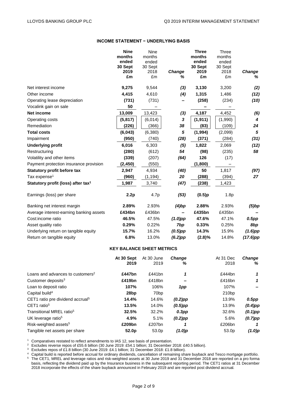#### **INCOME STATEMENT − UNDERLYING BASIS**

|                                                | <b>Nine</b> | Nine       |                    | <b>Three</b> | Three      |             |
|------------------------------------------------|-------------|------------|--------------------|--------------|------------|-------------|
|                                                | months      | months     |                    | months       | months     |             |
|                                                | ended       | ended      |                    | ended        | ended      |             |
|                                                | 30 Sept     | 30 Sept    |                    | 30 Sept      | 30 Sept    |             |
|                                                | 2019<br>£m  | 2018<br>£m | <b>Change</b><br>% | 2019<br>£m   | 2018<br>£m | Change<br>% |
|                                                |             |            |                    |              |            |             |
| Net interest income                            | 9,275       | 9,544      | (3)                | 3,130        | 3,200      | (2)         |
| Other income                                   | 4,415       | 4,610      | (4)                | 1,315        | 1,486      | (12)        |
| Operating lease depreciation                   | (731)       | (731)      |                    | (258)        | (234)      | (10)        |
| Vocalink gain on sale                          | 50          |            |                    |              |            |             |
| Net income                                     | 13,009      | 13,423     | (3)                | 4,187        | 4,452      | (6)         |
| Operating costs                                | (5,817)     | (6,014)    | 3                  | (1, 911)     | (1,990)    | 4           |
| Remediation                                    | (226)       | (366)      | 38                 | (83)         | (109)      | 24          |
| <b>Total costs</b>                             | (6,043)     | (6,380)    | ${\bf 5}$          | (1,994)      | (2,099)    | 5           |
| Impairment                                     | (950)       | (740)      | (28)               | (371)        | (284)      | (31)        |
| <b>Underlying profit</b>                       | 6,016       | 6,303      | (5)                | 1,822        | 2,069      | (12)        |
| Restructuring                                  | (280)       | (612)      | 54                 | (98)         | (235)      | 58          |
| Volatility and other items                     | (339)       | (207)      | (64)               | 126          | (17)       |             |
| Payment protection insurance provision         | (2, 450)    | (550)      |                    | (1,800)      |            |             |
| <b>Statutory profit before tax</b>             | 2,947       | 4,934      | (40)               | 50           | 1,817      | (97)        |
| Tax expense <sup>1</sup>                       | (960)       | (1, 194)   | 20                 | (288)        | (394)      | 27          |
| Statutory profit (loss) after tax <sup>1</sup> | 1,987       | 3,740      | (47)               | (238)        | 1,423      |             |
| Earnings (loss) per share                      | 2.2p        | 4.7p       | (53)               | (0.5)p       | 1.8p       |             |
| Banking net interest margin                    | 2.89%       | 2.93%      | $(4)$ bp           | 2.88%        | 2.93%      | $(5)$ bp    |
| Average interest-earning banking assets        | £434bn      | £436bn     |                    | £435bn       | £435bn     |             |
| Cost:income ratio                              | 46.5%       | 47.5%      | $(1.0)$ pp         | 47.6%        | 47.1%      | $0.5$ pp    |
| Asset quality ratio                            | 0.29%       | 0.22%      | 7bp                | 0.33%        | 0.25%      | 8bp         |
| Underlying return on tangible equity           | 15.7%       | 16.2%      | $(0.5)$ pp         | 14.3%        | 15.9%      | $(1.6)$ pp  |
| Return on tangible equity                      | 6.8%        | 13.0%      | $(6.2)$ pp         | $(2.8)\%$    | 14.8%      | $(17.6)$ pp |
|                                                |             |            |                    |              |            |             |

## **KEY BALANCE SHEET METRICS**

|                                              | At 30 Sept        | At 30 June       | <b>Change</b> | At 31 Dec | <b>Change</b> |
|----------------------------------------------|-------------------|------------------|---------------|-----------|---------------|
|                                              | 2019              | 2019             | %             | 2018      | ℅             |
| Loans and advances to customers <sup>2</sup> | £447bn            | £441 $bn$        | 1             | £444 $bn$ | 1             |
| Customer deposits $3$                        | £419bn            | £418bn           |               | £416bn    | 1             |
| Loan to deposit ratio                        | 107%              | 106%             | 1pp           | 107%      |               |
| Capital build <sup>4</sup>                   | 28 <sub>bp</sub>  | 70 <sub>bp</sub> |               | 210bp     |               |
| CET1 ratio pre dividend accrual <sup>5</sup> | 14.4%             | 14.6%            | $(0.2)$ pp    | 13.9%     | 0.5pp         |
| CET <sub>1</sub> ratio <sup>5</sup>          | 13.5%             | 14.0%            | $(0.5)$ pp    | 13.9%     | $(0.4)$ pp    |
| Transitional MREL ratio <sup>5</sup>         | 32.5%             | 32.2%            | $0.3$ pp      | 32.6%     | $(0.1)$ pp    |
| UK leverage ratio <sup>5</sup>               | 4.9%              | 5.1%             | $(0.2)$ pp    | 5.6%      | $(0.7)$ pp    |
| Risk-weighted assets <sup>5</sup>            | £209bn            | £207bn           |               | £206bn    |               |
| Tangible net assets per share                | 52.0 <sub>p</sub> | 53.0p            | $(1.0)$ p     | 53.0p     | $(1.0)$ p     |

<sup>1</sup> Comparatives restated to reflect amendments to IAS 12, see basis of presentation.

<sup>2</sup> Excludes reverse repos of £55.6 billion (30 June 2019: £54.1 billion; 31 December 2018: £40.5 billion).

<sup>3</sup> Excludes repos of £1.8 billion (30 June 2019: £4.1 billion; 31 December 2018: £1.8 billion).

 $4$  Capital build is reported before accrual for ordinary dividends, cancellation of remaining share buyback and Tesco mortgage portfolio.

 $5$  The CET1, MREL and leverage ratios and risk-weighted assets at 30 June 2019 and 31 December 2018 are reported on a pro forma basis, reflecting the dividend paid up by the Insurance business in the subsequent reporting period. The CET1 ratios at 31 December 2018 incorporate the effects of the share buyback announced in February 2019 and are reported post dividend accrual.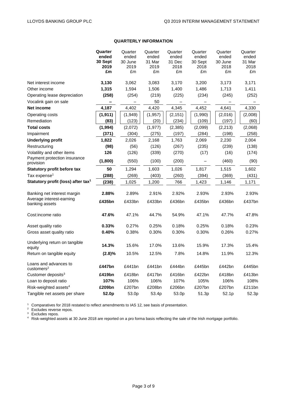# **QUARTERLY INFORMATION**

|                                                     | Quarter    | Quarter    | Quarter    | Quarter    | Quarter    | Quarter    | Quarter    |
|-----------------------------------------------------|------------|------------|------------|------------|------------|------------|------------|
|                                                     | ended      | ended      | ended      | ended      | ended      | ended      | ended      |
|                                                     | 30 Sept    | 30 June    | 31 Mar     | 31 Dec     | 30 Sept    | 30 June    | 31 Mar     |
|                                                     | 2019<br>£m | 2019<br>£m | 2019<br>£m | 2018<br>£m | 2018<br>£m | 2018<br>£m | 2018<br>£m |
|                                                     |            |            |            |            |            |            |            |
| Net interest income                                 | 3,130      | 3,062      | 3,083      | 3,170      | 3,200      | 3,173      | 3,171      |
| Other income                                        | 1,315      | 1,594      | 1,506      | 1,400      | 1,486      | 1,713      | 1,411      |
| Operating lease depreciation                        | (258)      | (254)      | (219)      | (225)      | (234)      | (245)      | (252)      |
| Vocalink gain on sale                               |            |            | 50         |            |            |            |            |
| Net income                                          | 4,187      | 4,402      | 4,420      | 4,345      | 4,452      | 4,641      | 4,330      |
| Operating costs                                     | (1, 911)   | (1,949)    | (1, 957)   | (2, 151)   | (1,990)    | (2,016)    | (2,008)    |
| Remediation                                         | (83)       | (123)      | (20)       | (234)      | (109)      | (197)      | (60)       |
| <b>Total costs</b>                                  | (1,994)    | (2,072)    | (1, 977)   | (2, 385)   | (2,099)    | (2, 213)   | (2,068)    |
| Impairment                                          | (371)      | (304)      | (275)      | (197)      | (284)      | (198)      | (258)      |
| <b>Underlying profit</b>                            | 1,822      | 2,026      | 2,168      | 1,763      | 2,069      | 2,230      | 2,004      |
| Restructuring                                       | (98)       | (56)       | (126)      | (267)      | (235)      | (239)      | (138)      |
| Volatility and other items                          | 126        | (126)      | (339)      | (270)      | (17)       | (16)       | (174)      |
| Payment protection insurance<br>provision           | (1,800)    | (550)      | (100)      | (200)      |            | (460)      | (90)       |
| Statutory profit before tax                         | 50         | 1,294      | 1,603      | 1,026      | 1,817      | 1,515      | 1,602      |
| Tax expense <sup>1</sup>                            | (288)      | (269)      | (403)      | (260)      | (394)      | (369)      | (431)      |
| Statutory profit (loss) after tax <sup>1</sup>      | (238)      | 1,025      | 1,200      | 766        | 1,423      | 1,146      | 1,171      |
| Banking net interest margin                         | 2.88%      | 2.89%      | 2.91%      | 2.92%      | 2.93%      | 2.93%      | 2.93%      |
| Average interest-earning                            |            |            |            |            |            |            |            |
| banking assets                                      | £435bn     | £433bn     | £433bn     | £436bn     | £435bn     | £436bn     | £437bn     |
| Cost: income ratio                                  | 47.6%      | 47.1%      | 44.7%      | 54.9%      | 47.1%      | 47.7%      | 47.8%      |
| Asset quality ratio                                 | 0.33%      | 0.27%      | 0.25%      | 0.18%      | 0.25%      | 0.18%      | 0.23%      |
| Gross asset quality ratio                           | 0.40%      | 0.38%      | 0.30%      | 0.30%      | 0.30%      | 0.26%      | 0.27%      |
| Underlying return on tangible<br>equity             | 14.3%      | 15.6%      | 17.0%      | 13.6%      | 15.9%      | 17.3%      | 15.4%      |
| Return on tangible equity                           | (2.8)%     | 10.5%      | 12.5%      | 7.8%       | 14.8%      | 11.9%      | 12.3%      |
| Loans and advances to<br>$cuts$ tomers <sup>2</sup> | £447bn     | £441bn     | £441bn     | £444bn     | £445bn     | £442bn     | £445bn     |
| Customer deposits <sup>3</sup>                      | £419bn     | £418bn     | £417bn     | £416bn     | £422bn     | £418bn     | £413bn     |
| Loan to deposit ratio                               | 107%       | 106%       | 106%       | 107%       | 105%       | 106%       | 108%       |
| Risk-weighted assets <sup>4</sup>                   | £209bn     | £207bn     | £208bn     | £206bn     | £207bn     | £207bn     | £211bn     |
| Tangible net assets per share                       | 52.0p      | 53.0p      | 53.4p      | 53.0p      | 51.3p      | 52.1p      | 52.3p      |

<sup>1</sup> Comparatives for 2018 restated to reflect amendments to IAS 12, see basis of presentation.

 $2$  Excludes reverse repos.

 $3$  Excludes repos.

<sup>4</sup> Risk-weighted assets at 30 June 2018 are reported on a pro forma basis reflecting the sale of the Irish mortgage portfolio.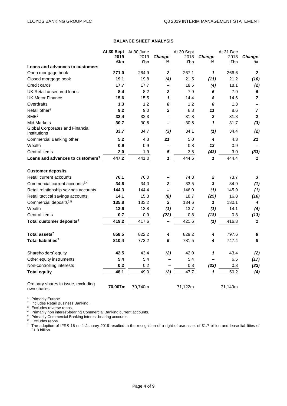# **BALANCE SHEET ANALYSIS**

|                                                   | At 30 Sept At 30 June |         | At 30 Sept               |         |                         | At 31 Dec |                          |
|---------------------------------------------------|-----------------------|---------|--------------------------|---------|-------------------------|-----------|--------------------------|
|                                                   | 2019                  | 2019    | Change                   | 2018    | Change                  | 2018      | Change                   |
|                                                   | £bn                   | £bn     | ℅                        | £bn     | ℅                       | £bn       | %                        |
| Loans and advances to customers                   |                       |         |                          |         |                         |           |                          |
| Open mortgage book                                | 271.0                 | 264.9   | $\mathbf{2}$             | 267.1   | 1                       | 266.6     | $\boldsymbol{2}$         |
| Closed mortgage book                              | 19.1                  | 19.8    | (4)                      | 21.5    | (11)                    | 21.2      | (10)                     |
| Credit cards                                      | 17.7                  | 17.7    | -                        | 18.5    | (4)                     | 18.1      | (2)                      |
| UK Retail unsecured loans                         | 8.4                   | 8.2     | $\overline{2}$           | 7.9     | 6                       | 7.9       | 6                        |
| <b>UK Motor Finance</b>                           | 15.6                  | 15.5    | $\mathbf{1}$             | 14.4    | 8                       | 14.6      | $\overline{7}$           |
| Overdrafts                                        | $1.3$                 | 1.2     | 8                        | 1.2     | 8                       | 1.3       | $\overline{\phantom{0}}$ |
| Retail other <sup>1</sup>                         | 9.2                   | 9.0     | $\overline{2}$           | 8.3     | 11                      | 8.6       | $\overline{7}$           |
| SME <sup>2</sup>                                  | 32.4                  | 32.3    |                          | 31.8    | $\overline{\mathbf{2}}$ | 31.8      | $\overline{2}$           |
| <b>Mid Markets</b>                                | 30.7                  | 30.6    |                          | 30.5    | 1                       | 31.7      | $(3)$                    |
| Global Corporates and Financial<br>Institutions   | 33.7                  | 34.7    | $(3)$                    | 34.1    | (1)                     | 34.4      | (2)                      |
| Commercial Banking other                          | 5.2                   | 4.3     | 21                       | 5.0     | 4                       | 4.3       | 21                       |
| Wealth                                            | 0.9                   | 0.9     | $\overline{\phantom{0}}$ | 0.8     | 13                      | 0.9       | $\overline{\phantom{m}}$ |
| Central items                                     | 2.0                   | 1.9     | 5                        | 3.5     | (43)                    | 3.0       | (33)                     |
| Loans and advances to customers <sup>3</sup>      | 447.2                 | 441.0   | 1                        | 444.6   | 1                       | 444.4     | $\mathbf{1}$             |
| <b>Customer deposits</b>                          |                       |         |                          |         |                         |           |                          |
| Retail current accounts                           | 76.1                  | 76.0    | -                        | 74.3    | 2                       | 73.7      | 3                        |
| Commercial current accounts <sup>2,4</sup>        | 34.6                  | 34.0    | $\mathbf{2}$             | 33.5    | 3                       | 34.9      | (1)                      |
| Retail relationship savings accounts              | 144.3                 | 144.4   | $\overline{\phantom{0}}$ | 146.0   | (1)                     | 145.9     | (1)                      |
| Retail tactical savings accounts                  | 14.1                  | 15.3    | (8)                      | 18.7    | (25)                    | 16.8      | (16)                     |
| Commercial deposits <sup>2,5</sup>                | 135.8                 | 133.2   | $\mathbf{2}$             | 134.6   | 1                       | 130.1     | 4                        |
| Wealth                                            | 13.6                  | 13.8    | (1)                      | 13.7    | (1)                     | 14.1      | (4)                      |
| Central items                                     | 0.7                   | 0.9     | (22)                     | 0.8     | (13)                    | 0.8       | (13)                     |
| Total customer deposits <sup>6</sup>              | 419.2                 | 417.6   |                          | 421.6   | (1)                     | 416.3     | $\mathbf{1}$             |
| Total assets <sup>7</sup>                         | 858.5                 | 822.2   | 4                        | 829.2   | 4                       | 797.6     | 8                        |
| Total liabilities <sup>7</sup>                    | 810.4                 | 773.2   | 5                        | 781.5   | 4                       | 747.4     | 8                        |
| Shareholders' equity                              | 42.5                  | 43.4    | (2)                      | 42.0    | 1                       | 43.4      | (2)                      |
| Other equity instruments                          | 5.4                   | 5.4     |                          | 5.4     |                         | 6.5       | (17)                     |
| Non-controlling interests                         | 0.2                   | 0.2     |                          | 0.3     | (33)                    | 0.3       | (33)                     |
| <b>Total equity</b>                               | 48.1                  | 49.0    | (2)                      | 47.7    | 1                       | 50.2      | (4)                      |
| Ordinary shares in issue, excluding<br>own shares | 70,007m               | 70,740m |                          | 71,122m |                         | 71,149m   |                          |

<sup>1</sup> Primarily Europe.<br><sup>2</sup> Includes Retail Business Banking.

 $3$  Excludes reverse repos.

<sup>4</sup> Primarily non interest-bearing Commercial Banking current accounts.

<sup>5</sup> Primarily Commercial Banking interest-bearing accounts.

<sup>6</sup> Excludes repos.

 $^7$  The adoption of IFRS 16 on 1 January 2019 resulted in the recognition of a right-of-use asset of £1.7 billion and lease liabilities of £1.8 billion.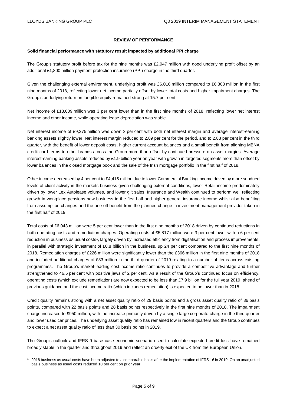# **REVIEW OF PERFORMANCE**

#### **Solid financial performance with statutory result impacted by additional PPI charge**

The Group's statutory profit before tax for the nine months was £2,947 million with good underlying profit offset by an additional £1,800 million payment protection insurance (PPI) charge in the third quarter.

Given the challenging external environment, underlying profit was £6,016 million compared to £6,303 million in the first nine months of 2018, reflecting lower net income partially offset by lower total costs and higher impairment charges. The Group's underlying return on tangible equity remained strong at 15.7 per cent.

Net income of £13,009 million was 3 per cent lower than in the first nine months of 2018, reflecting lower net interest income and other income, while operating lease depreciation was stable.

Net interest income of £9,275 million was down 3 per cent with both net interest margin and average interest-earning banking assets slightly lower. Net interest margin reduced to 2.89 per cent for the period, and to 2.88 per cent in the third quarter, with the benefit of lower deposit costs, higher current account balances and a small benefit from aligning MBNA credit card terms to other brands across the Group more than offset by continued pressure on asset margins. Average interest-earning banking assets reduced by £1.9 billion year on year with growth in targeted segments more than offset by lower balances in the closed mortgage book and the sale of the Irish mortgage portfolio in the first half of 2018.

Other income decreased by 4 per cent to £4,415 million due to lower Commercial Banking income driven by more subdued levels of client activity in the markets business given challenging external conditions, lower Retail income predominately driven by lower Lex Autolease volumes, and lower gilt sales. Insurance and Wealth continued to perform well reflecting growth in workplace pensions new business in the first half and higher general insurance income whilst also benefiting from assumption changes and the one-off benefit from the planned change in investment management provider taken in the first half of 2019.

Total costs of £6,043 million were 5 per cent lower than in the first nine months of 2018 driven by continued reductions in both operating costs and remediation charges. Operating costs of £5,817 million were 3 per cent lower with a 6 per cent reduction in business as usual costs<sup>1</sup>, largely driven by increased efficiency from digitalisation and process improvements, in parallel with strategic investment of £0.8 billion in the business, up 24 per cent compared to the first nine months of 2018. Remediation charges of £226 million were significantly lower than the £366 million in the first nine months of 2018 and included additional charges of £83 million in the third quarter of 2019 relating to a number of items across existing programmes. The Group's market-leading cost:income ratio continues to provide a competitive advantage and further strengthened to 46.5 per cent with positive jaws of 2 per cent. As a result of the Group's continued focus on efficiency, operating costs (which exclude remediation) are now expected to be less than £7.9 billion for the full year 2019, ahead of previous guidance and the cost:income ratio (which includes remediation) is expected to be lower than in 2018.

Credit quality remains strong with a net asset quality ratio of 29 basis points and a gross asset quality ratio of 36 basis points, compared with 22 basis points and 28 basis points respectively in the first nine months of 2018. The impairment charge increased to £950 million, with the increase primarily driven by a single large corporate charge in the third quarter and lower used car prices. The underlying asset quality ratio has remained low in recent quarters and the Group continues to expect a net asset quality ratio of less than 30 basis points in 2019.

The Group's outlook and IFRS 9 base case economic scenario used to calculate expected credit loss have remained broadly stable in the quarter and throughout 2019 and reflect an orderly exit of the UK from the European Union.

<sup>1</sup> 2018 business as usual costs have been adjusted to a comparable basis after the implementation of IFRS 16 in 2019. On an unadjusted basis business as usual costs reduced 10 per cent on prior year.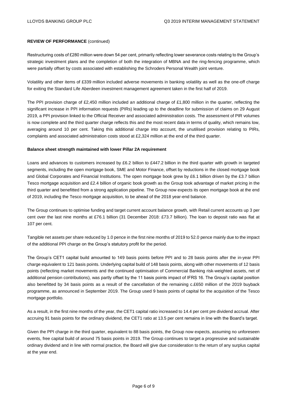#### **REVIEW OF PERFORMANCE** (continued)

Restructuring costs of £280 million were down 54 per cent, primarily reflecting lower severance costs relating to the Group's strategic investment plans and the completion of both the integration of MBNA and the ring-fencing programme, which were partially offset by costs associated with establishing the Schroders Personal Wealth joint venture.

Volatility and other items of £339 million included adverse movements in banking volatility as well as the one-off charge for exiting the Standard Life Aberdeen investment management agreement taken in the first half of 2019.

The PPI provision charge of £2,450 million included an additional charge of £1,800 million in the quarter, reflecting the significant increase in PPI information requests (PIRs) leading up to the deadline for submission of claims on 29 August 2019, a PPI provision linked to the Official Receiver and associated administration costs. The assessment of PIR volumes is now complete and the third quarter charge reflects this and the most recent data in terms of quality, which remains low, averaging around 10 per cent. Taking this additional charge into account, the unutilised provision relating to PIRs, complaints and associated administration costs stood at £2,324 million at the end of the third quarter.

#### **Balance sheet strength maintained with lower Pillar 2A requirement**

Loans and advances to customers increased by £6.2 billion to £447.2 billion in the third quarter with growth in targeted segments, including the open mortgage book, SME and Motor Finance, offset by reductions in the closed mortgage book and Global Corporates and Financial Institutions. The open mortgage book grew by £6.1 billion driven by the £3.7 billion Tesco mortgage acquisition and £2.4 billion of organic book growth as the Group took advantage of market pricing in the third quarter and benefitted from a strong application pipeline. The Group now expects its open mortgage book at the end of 2019, including the Tesco mortgage acquisition, to be ahead of the 2018 year-end balance.

The Group continues to optimise funding and target current account balance growth, with Retail current accounts up 3 per cent over the last nine months at £76.1 billion (31 December 2018: £73.7 billion). The loan to deposit ratio was flat at 107 per cent.

Tangible net assets per share reduced by 1.0 pence in the first nine months of 2019 to 52.0 pence mainly due to the impact of the additional PPI charge on the Group's statutory profit for the period.

The Group's CET1 capital build amounted to 149 basis points before PPI and to 28 basis points after the in-year PPI charge equivalent to 121 basis points. Underlying capital build of 148 basis points, along with other movements of 12 basis points (reflecting market movements and the continued optimisation of Commercial Banking risk-weighted assets, net of additional pension contributions), was partly offset by the 11 basis points impact of IFRS 16. The Group's capital position also benefitted by 34 basis points as a result of the cancellation of the remaining c.£650 million of the 2019 buyback programme, as announced in September 2019. The Group used 9 basis points of capital for the acquisition of the Tesco mortgage portfolio.

As a result, in the first nine months of the year, the CET1 capital ratio increased to 14.4 per cent pre dividend accrual. After accruing 91 basis points for the ordinary dividend, the CET1 ratio at 13.5 per cent remains in line with the Board's target.

Given the PPI charge in the third quarter, equivalent to 88 basis points, the Group now expects, assuming no unforeseen events, free capital build of around 75 basis points in 2019. The Group continues to target a progressive and sustainable ordinary dividend and in line with normal practice, the Board will give due consideration to the return of any surplus capital at the year end.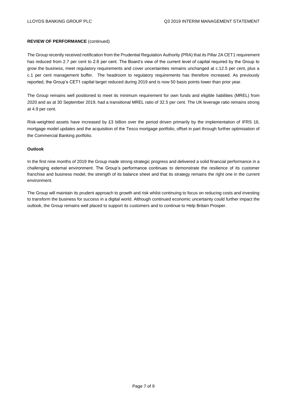#### **REVIEW OF PERFORMANCE** (continued)

The Group recently received notification from the Prudential Regulation Authority (PRA) that its Pillar 2A CET1 requirement has reduced from 2.7 per cent to 2.6 per cent. The Board's view of the current level of capital required by the Group to grow the business, meet regulatory requirements and cover uncertainties remains unchanged at c.12.5 per cent, plus a c.1 per cent management buffer. The headroom to regulatory requirements has therefore increased. As previously reported, the Group's CET1 capital target reduced during 2019 and is now 50 basis points lower than prior year.

The Group remains well positioned to meet its minimum requirement for own funds and eligible liabilities (MREL) from 2020 and as at 30 September 2019, had a transitional MREL ratio of 32.5 per cent. The UK leverage ratio remains strong at 4.9 per cent.

Risk-weighted assets have increased by £3 billion over the period driven primarily by the implementation of IFRS 16, mortgage model updates and the acquisition of the Tesco mortgage portfolio, offset in part through further optimisation of the Commercial Banking portfolio.

#### **Outlook**

In the first nine months of 2019 the Group made strong strategic progress and delivered a solid financial performance in a challenging external environment. The Group's performance continues to demonstrate the resilience of its customer franchise and business model, the strength of its balance sheet and that its strategy remains the right one in the current environment.

The Group will maintain its prudent approach to growth and risk whilst continuing to focus on reducing costs and investing to transform the business for success in a digital world. Although continued economic uncertainty could further impact the outlook, the Group remains well placed to support its customers and to continue to Help Britain Prosper.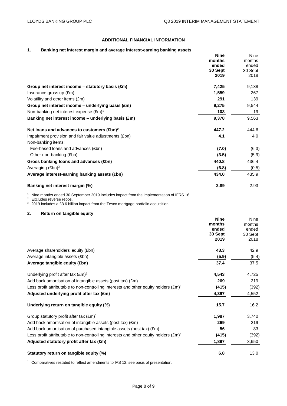# **ADDITIONAL FINANCIAL INFORMATION**

## **1. Banking net interest margin and average interest-earning banking assets**

|                                                        | <b>Nine</b> | Nine    |
|--------------------------------------------------------|-------------|---------|
|                                                        | months      | months  |
|                                                        | ended       | ended   |
|                                                        | 30 Sept     | 30 Sept |
|                                                        | 2019        | 2018    |
| Group net interest income $-$ statutory basis (£m)     | 7,425       | 9,138   |
| Insurance gross up (£m)                                | 1,559       | 267     |
| Volatility and other items (£m)                        | 291         | 139     |
| Group net interest income $-$ underlying basis (£m)    | 9,275       | 9,544   |
| Non-banking net interest expense $(\text{Em})^1$       | 103         | 19      |
| Banking net interest income $-$ underlying basis (£m)  | 9,378       | 9,563   |
| Net loans and advances to customers (£bn) <sup>2</sup> | 447.2       | 444.6   |
| Impairment provision and fair value adjustments (£bn)  | 4.1         | 4.0     |
| Non-banking items:                                     |             |         |
| Fee-based loans and advances (£bn)                     | (7.0)       | (6.3)   |
| Other non-banking (£bn)                                | (3.5)       | (5.9)   |
| Gross banking loans and advances (£bn)                 | 440.8       | 436.4   |
| Averaging $(Ebn)^3$                                    | (6.8)       | (0.5)   |
| Average interest-earning banking assets (£bn)          | 434.0       | 435.9   |
| Banking net interest margin (%)                        | 2.89        | 2.93    |

<sup>1</sup> Nine months ended 30 September 2019 includes impact from the implementation of IFRS 16.

 $2$  Excludes reverse repos.

<sup>3</sup> 2019 includes a £3.6 billion impact from the Tesco mortgage portfolio acquisition.

## **2. Return on tangible equity**

|                                                                                                | <b>Nine</b> | Nine    |
|------------------------------------------------------------------------------------------------|-------------|---------|
|                                                                                                | months      | months  |
|                                                                                                | ended       | ended   |
|                                                                                                | 30 Sept     | 30 Sept |
|                                                                                                | 2019        | 2018    |
| Average shareholders' equity (£bn)                                                             | 43.3        | 42.9    |
| Average intangible assets (£bn)                                                                | (5.9)       | (5.4)   |
| Average tangible equity (£bn)                                                                  | 37.4        | 37.5    |
| Underlying profit after tax $(\text{Em})^1$                                                    | 4,543       | 4,725   |
| Add back amortisation of intangible assets (post tax) (£m)                                     | 269         | 219     |
| Less profit attributable to non-controlling interests and other equity holders $(\text{Em})^1$ | (415)       | (392)   |
| Adjusted underlying profit after tax (£m)                                                      | 4,397       | 4,552   |
| Underlying return on tangible equity (%)                                                       | 15.7        | 16.2    |
| Group statutory profit after tax $(\text{\pounds}m)^1$                                         | 1,987       | 3,740   |
| Add back amortisation of intangible assets (post tax) (£m)                                     | 269         | 219     |
| Add back amortisation of purchased intangible assets (post tax) (£m)                           | 56          | 83      |
| Less profit attributable to non-controlling interests and other equity holders $(\text{Em})^1$ | (415)       | (392)   |
| Adjusted statutory profit after tax (£m)                                                       | 1,897       | 3,650   |
| Statutory return on tangible equity (%)                                                        | 6.8         | 13.0    |

<sup>1</sup> Comparatives restated to reflect amendments to IAS 12, see basis of presentation.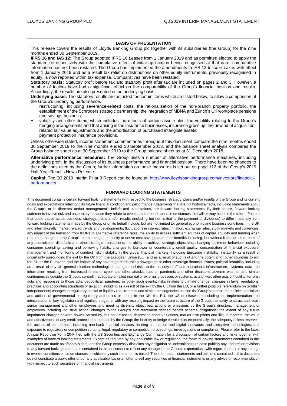#### **BASIS OF PRESENTATION**

This release covers the results of Lloyds Banking Group plc together with its subsidiaries (the Group) for the nine months ended 30 September 2019.

**IFRS 16 and IAS 12:** The Group adopted IFRS 16 *Leases* from 1 January 2019 and as permitted elected to apply the standard retrospectively with the cumulative effect of initial application being recognised at that date; comparative information has not been restated. The Group has implemented the amendments to IAS 12 *Income Taxes* with effect from 1 January 2019 and as a result tax relief on distributions on other equity instruments, previously recognised in equity, is now reported within tax expense. Comparatives have been restated.

**Statutory basis:** Statutory profit before tax and statutory profit after tax are included on pages 2 and 3. However, a number of factors have had a significant effect on the comparability of the Group's financial position and results. Accordingly, the results are also presented on an underlying basis.

**Underlying basis:** The statutory results are adjusted for certain items which are listed below, to allow a comparison of the Group's underlying performance.

- − restructuring, including severance-related costs, the rationalisation of the non-branch property portfolio, the establishment of the Schroders strategic partnership, the integration of MBNA and Zurich's UK workplace pensions and savings business;
- − volatility and other items, which includes the effects of certain asset sales, the volatility relating to the Group's hedging arrangements and that arising in the insurance businesses, insurance gross up, the unwind of acquisitionrelated fair value adjustments and the amortisation of purchased intangible assets;
- payment protection insurance provisions.

Unless otherwise stated, income statement commentaries throughout this document compare the nine months ended 30 September 2019 to the nine months ended 30 September 2018, and the balance sheet analysis compares the Group balance sheet as at 30 September 2019 to the Group balance sheet as at 31 December 2018.

**Alternative performance measures:** The Group uses a number of alternative performance measures, including underlying profit, in the discussion of its business performance and financial position. There have been no changes to the definitions used by the Group; further information on these measures is set out on page 112 of the Group's 2019 Half-Year Results News Release.

**Capital:** The Q3 2019 Interim Pillar 3 Report can be found at: [http://www.lloydsbankinggroup.com/investors/financial](http://www.lloydsbankinggroup.com/investors/financial-performance/)[performance/](http://www.lloydsbankinggroup.com/investors/financial-performance/)

#### **FORWARD LOOKING STATEMENTS**

This document contains certain forward looking statements with respect to the business, strategy, plans and/or results of the Group and its current goals and expectations relating to its future financial condition and performance. Statements that are not historical facts, including statements about the Group's or its directors' and/or management's beliefs and expectations, are forward looking statements. By their nature, forward looking statements involve risk and uncertainty because they relate to events and depend upon circumstances that will or may occur in the future. Factors that could cause actual business, strategy, plans and/or results (including but not limited to the payment of dividends) to differ materially from forward looking statements made by the Group or on its behalf include, but are not limited to: general economic and business conditions in the UK and internationally; market related trends and developments; fluctuations in interest rates, inflation, exchange rates, stock markets and currencies; any impact of the transition from IBORs to alternative reference rates; the ability to access sufficient sources of capital, liquidity and funding when required; changes to the Group's credit ratings; the ability to derive cost savings and other benefits including, but without limitation as a result of any acquisitions, disposals and other strategic transactions; the ability to achieve strategic objectives; changing customer behaviour including consumer spending, saving and borrowing habits; changes to borrower or counterparty credit quality; concentration of financial exposure; management and monitoring of conduct risk; instability in the global financial markets, including Eurozone instability, instability as a result of uncertainty surrounding the exit by the UK from the European Union (EU) and as a result of such exit and the potential for other countries to exit the EU or the Eurozone and the impact of any sovereign credit rating downgrade or other sovereign financial issues; political instability including as a result of any UK general election; technological changes and risks to the security of IT and operational infrastructure, systems, data and information resulting from increased threat of cyber and other attacks; natural, pandemic and other disasters, adverse weather and similar contingencies outside the Group's control; inadequate or failed internal or external processes or systems; acts of war, other acts of hostility, terrorist acts and responses to those acts, geopolitical, pandemic or other such events; risks relating to climate change; changes in laws, regulations, practices and accounting standards or taxation, including as a result of the exit by the UK from the EU, or a further possible referendum on Scottish independence; changes to regulatory capital or liquidity requirements and similar contingencies outside the Group's control; the policies, decisions and actions of governmental or regulatory authorities or courts in the UK, the EU, the US or elsewhere including the implementation and interpretation of key legislation and regulation together with any resulting impact on the future structure of the Group; the ability to attract and retain senior management and other employees and meet its diversity objectives; actions or omissions by the Group's directors, management or employees including industrial action; changes to the Group's post-retirement defined benefit scheme obligations; the extent of any future impairment charges or write-downs caused by, but not limited to, depressed asset valuations, market disruptions and illiquid markets; the value and effectiveness of any credit protection purchased by the Group; the inability to hedge certain risks economically; the adequacy of loss reserves; the actions of competitors, including non-bank financial services, lending companies and digital innovators and disruptive technologies; and exposure to regulatory or competition scrutiny, legal, regulatory or competition proceedings, investigations or complaints. Please refer to the latest Annual Report on Form 20-F filed with the US Securities and Exchange Commission for a discussion of certain factors and risks together with examples of forward looking statements. Except as required by any applicable law or regulation, the forward looking statements contained in this document are made as of today's date, and the Group expressly disclaims any obligation or undertaking to release publicly any updates or revisions to any forward looking statements contained in this document to reflect any change in the Group's expectations with regard thereto or any change in events, conditions or circumstances on which any such statement is based. The information, statements and opinions contained in this document do not constitute a public offer under any applicable law or an offer to sell any securities or financial instruments or any advice or recommendation with respect to such securities or financial instruments.